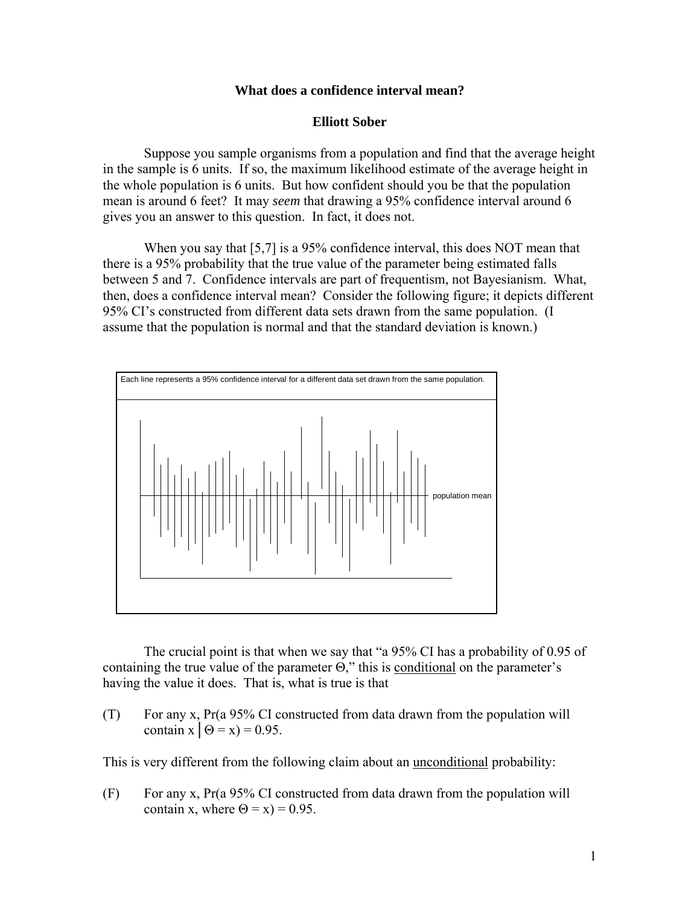## **What does a confidence interval mean?**

## **Elliott Sober**

 Suppose you sample organisms from a population and find that the average height in the sample is 6 units. If so, the maximum likelihood estimate of the average height in the whole population is 6 units. But how confident should you be that the population mean is around 6 feet? It may *seem* that drawing a 95% confidence interval around 6 gives you an answer to this question. In fact, it does not.

When you say that [5,7] is a 95% confidence interval, this does NOT mean that there is a 95% probability that the true value of the parameter being estimated falls between 5 and 7. Confidence intervals are part of frequentism, not Bayesianism. What, then, does a confidence interval mean? Consider the following figure; it depicts different 95% CI's constructed from different data sets drawn from the same population. (I assume that the population is normal and that the standard deviation is known.)



The crucial point is that when we say that "a 95% CI has a probability of 0.95 of containing the true value of the parameter  $\Theta$ ," this is conditional on the parameter's having the value it does. That is, what is true is that

(T) For any x, Pr(a 95% CI constructed from data drawn from the population will contain  $x \mid \Theta = x$ ) = 0.95.

This is very different from the following claim about an unconditional probability:

(F) For any x, Pr(a 95% CI constructed from data drawn from the population will contain x, where  $\Theta = x$ ) = 0.95.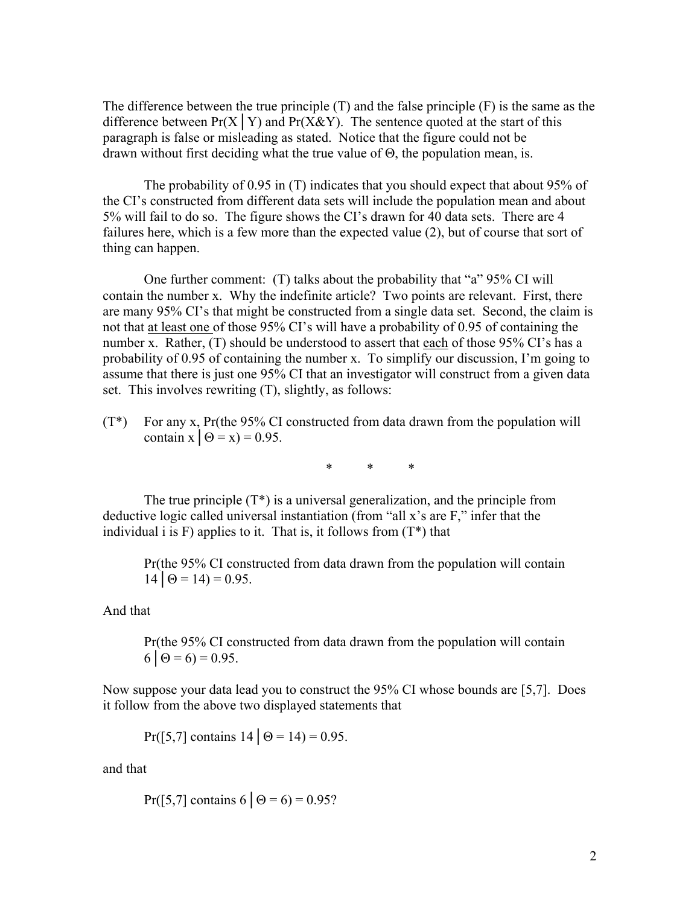The difference between the true principle (T) and the false principle (F) is the same as the difference between  $Pr(X | Y)$  and  $Pr(X \& Y)$ . The sentence quoted at the start of this paragraph is false or misleading as stated. Notice that the figure could not be drawn without first deciding what the true value of Θ, the population mean, is.

The probability of 0.95 in (T) indicates that you should expect that about 95% of the CI's constructed from different data sets will include the population mean and about 5% will fail to do so. The figure shows the CI's drawn for 40 data sets. There are 4 failures here, which is a few more than the expected value (2), but of course that sort of thing can happen.

One further comment: (T) talks about the probability that "a" 95% CI will contain the number x. Why the indefinite article? Two points are relevant. First, there are many 95% CI's that might be constructed from a single data set. Second, the claim is not that at least one of those 95% CI's will have a probability of 0.95 of containing the number x. Rather, (T) should be understood to assert that each of those 95% CI's has a probability of 0.95 of containing the number x. To simplify our discussion, I'm going to assume that there is just one 95% CI that an investigator will construct from a given data set. This involves rewriting (T), slightly, as follows:

(T\*) For any x, Pr(the 95% CI constructed from data drawn from the population will contain  $x \mid \Theta = x$ ) = 0.95.

\* \* \*

The true principle  $(T^*)$  is a universal generalization, and the principle from deductive logic called universal instantiation (from "all x's are F," infer that the individual i is F) applies to it. That is, it follows from  $(T^*)$  that

 Pr(the 95% CI constructed from data drawn from the population will contain  $14 \mid \Theta = 14$ ) = 0.95.

And that

 Pr(the 95% CI constructed from data drawn from the population will contain  $6 | \Theta = 6$ ) = 0.95.

Now suppose your data lead you to construct the 95% CI whose bounds are [5,7]. Does it follow from the above two displayed statements that

Pr([5,7] contains  $14 \mid \Theta = 14$ ) = 0.95.

and that

Pr([5,7] contains 6 |  $\Theta = 6$ ) = 0.95?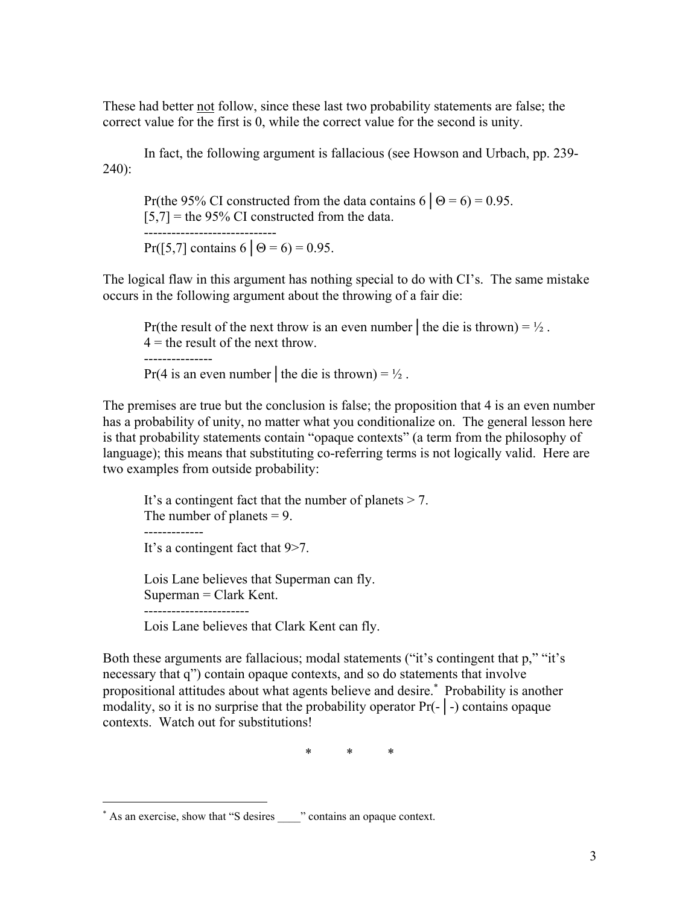These had better not follow, since these last two probability statements are false; the correct value for the first is 0, while the correct value for the second is unity.

 In fact, the following argument is fallacious (see Howson and Urbach, pp. 239- 240):

Pr(the 95% CI constructed from the data contains  $6 | \Theta = 6$ ) = 0.95.  $[5,7]$  = the 95% CI constructed from the data.  $-$ Pr([5,7] contains 6  $\Theta = 6$ ) = 0.95.

The logical flaw in this argument has nothing special to do with CI's. The same mistake occurs in the following argument about the throwing of a fair die:

Pr(the result of the next throw is an even number | the die is thrown) =  $\frac{1}{2}$ .  $4 =$  the result of the next throw. --------------- Pr(4 is an even number | the die is thrown) =  $\frac{1}{2}$ .

The premises are true but the conclusion is false; the proposition that 4 is an even number has a probability of unity, no matter what you conditionalize on. The general lesson here is that probability statements contain "opaque contexts" (a term from the philosophy of language); this means that substituting co-referring terms is not logically valid. Here are two examples from outside probability:

 It's a contingent fact that the number of planets > 7. The number of planets  $= 9$ . ------------- It's a contingent fact that 9>7.

 Lois Lane believes that Superman can fly. Superman = Clark Kent. -----------------------

Lois Lane believes that Clark Kent can fly.

Both these arguments are fallacious; modal statements ("it's contingent that p," "it's necessary that q") contain opaque contexts, and so do statements that involve propositional attitudes about what agents believe and desire.<sup>\*</sup> Probability is another modality, so it is no surprise that the probability operator Pr(-│-) contains opaque contexts. Watch out for substitutions!

\* \* \*

 $\overline{a}$ 

<sup>\*</sup> As an exercise, show that "S desires \_\_\_\_\_" contains an opaque context.